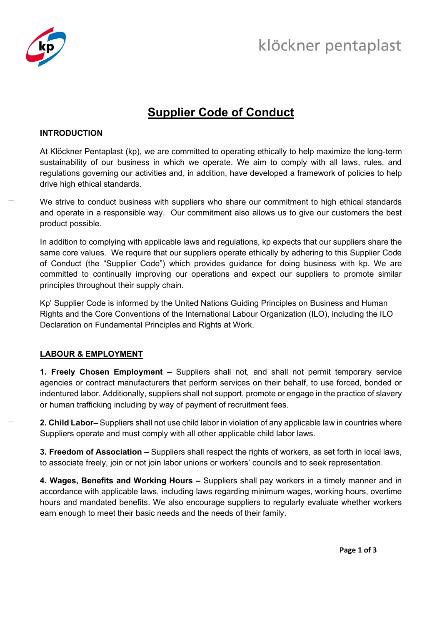

# **Supplier Code of Conduct**

## **INTRODUCTION**

At Klöckner Pentaplast (kp), we are committed to operating ethically to help maximize the long-term sustainability of our business in which we operate. We aim to comply with all laws, rules, and regulations governing our activities and, in addition, have developed a framework of policies to help drive high ethical standards.

We strive to conduct business with suppliers who share our commitment to high ethical standards and operate in a responsible way. Our commitment also allows us to give our customers the best product possible.

In addition to complying with applicable laws and regulations, kp expects that our suppliers share the same core values. We require that our suppliers operate ethically by adhering to this Supplier Code of Conduct (the "Supplier Code") which provides guidance for doing business with kp. We are committed to continually improving our operations and expect our suppliers to promote similar principles throughout their supply chain.

Kp' Supplier Code is informed by the United Nations Guiding Principles on Business and Human Rights and the Core Conventions of the International Labour Organization (ILO), including the ILO Declaration on Fundamental Principles and Rights at Work.

## LABOUR & EMPLOYMENT

**1. Freely Chosen Employment –** Suppliers shall not, and shall not permit temporary service agencies or contract manufacturers that perform services on their behalf, to use forced, bonded or indentured labor. Additionally, suppliers shall not support, promote or engage in the practice of slavery or human trafficking including by way of payment of recruitment fees.

**2. Child Labor–** Suppliers shall not use child labor in violation of any applicable law in countries where Suppliers operate and must comply with all other applicable child labor laws.

**3. Freedom of Association –** Suppliers shall respect the rights of workers, as set forth in local laws, to associate freely, join or not join labor unions or workers' councils and to seek representation.

**4. Wages, Benefits and Working Hours –** Suppliers shall pay workers in a timely manner and in accordance with applicable laws, including laws regarding minimum wages, working hours, overtime hours and mandated benefits. We also encourage suppliers to regularly evaluate whether workers earn enough to meet their basic needs and the needs of their family.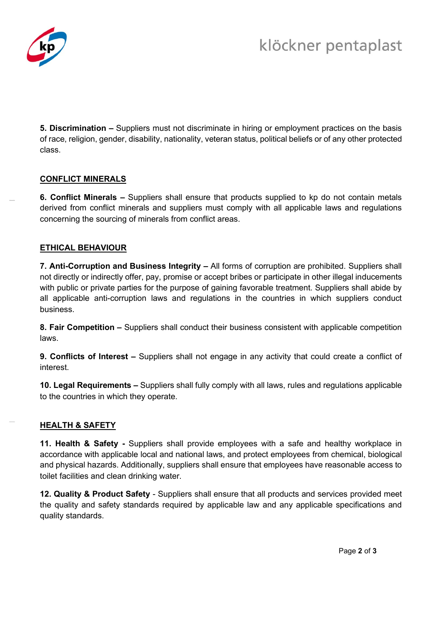

**5. Discrimination –** Suppliers must not discriminate in hiring or employment practices on the basis of race, religion, gender, disability, nationality, veteran status, political beliefs or of any other protected class.

## **CONFLICT MINERALS**

**6. Conflict Minerals –** Suppliers shall ensure that products supplied to kp do not contain metals derived from conflict minerals and suppliers must comply with all applicable laws and regulations concerning the sourcing of minerals from conflict areas.

## **ETHICAL BEHAVIOUR**

**7. Anti-Corruption and Business Integrity –** All forms of corruption are prohibited. Suppliers shall not directly or indirectly offer, pay, promise or accept bribes or participate in other illegal inducements with public or private parties for the purpose of gaining favorable treatment. Suppliers shall abide by all applicable anti-corruption laws and regulations in the countries in which suppliers conduct business.

**8. Fair Competition –** Suppliers shall conduct their business consistent with applicable competition laws.

**9. Conflicts of Interest –** Suppliers shall not engage in any activity that could create a conflict of interest.

**10. Legal Requirements –** Suppliers shall fully comply with all laws, rules and regulations applicable to the countries in which they operate.

# **HEALTH & SAFETY**

**11. Health & Safety -** Suppliers shall provide employees with a safe and healthy workplace in accordance with applicable local and national laws, and protect employees from chemical, biological and physical hazards. Additionally, suppliers shall ensure that employees have reasonable access to toilet facilities and clean drinking water.

**12. Quality & Product Safety** - Suppliers shall ensure that all products and services provided meet the quality and safety standards required by applicable law and any applicable specifications and quality standards.